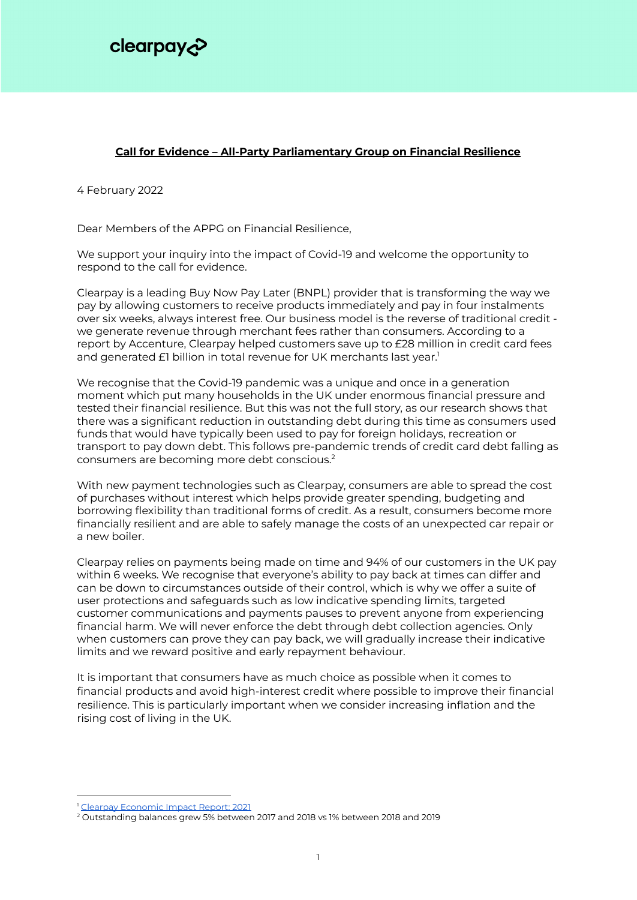

## **Call for Evidence – All-Party Parliamentary Group on Financial Resilience**

4 February 2022

Dear Members of the APPG on Financial Resilience,

We support your inquiry into the impact of Covid-19 and welcome the opportunity to respond to the call for evidence.

Clearpay is a leading Buy Now Pay Later (BNPL) provider that is transforming the way we pay by allowing customers to receive products immediately and pay in four instalments over six weeks, always interest free. Our business model is the reverse of traditional credit we generate revenue through merchant fees rather than consumers. According to a report by Accenture, Clearpay helped customers save up to £28 million in credit card fees and generated £1 billion in total revenue for UK merchants last year. 1

We recognise that the Covid-19 pandemic was a unique and once in a generation moment which put many households in the UK under enormous financial pressure and tested their financial resilience. But this was not the full story, as our research shows that there was a significant reduction in outstanding debt during this time as consumers used funds that would have typically been used to pay for foreign holidays, recreation or transport to pay down debt. This follows pre-pandemic trends of credit card debt falling as consumers are becoming more debt conscious. 2

With new payment technologies such as Clearpay, consumers are able to spread the cost of purchases without interest which helps provide greater spending, budgeting and borrowing flexibility than traditional forms of credit. As a result, consumers become more financially resilient and are able to safely manage the costs of an unexpected car repair or a new boiler.

Clearpay relies on payments being made on time and 94% of our customers in the UK pay within 6 weeks. We recognise that everyone's ability to pay back at times can differ and can be down to circumstances outside of their control, which is why we offer a suite of user protections and safeguards such as low indicative spending limits, targeted customer communications and payments pauses to prevent anyone from experiencing financial harm. We will never enforce the debt through debt collection agencies. Only when customers can prove they can pay back, we will gradually increase their indicative limits and we reward positive and early repayment behaviour.

It is important that consumers have as much choice as possible when it comes to financial products and avoid high-interest credit where possible to improve their financial resilience. This is particularly important when we consider increasing inflation and the rising cost of living in the UK.

<sup>&</sup>lt;sup>1</sup> Clearpay [Economic](https://afterpay-corporate.yourcreative.com.au/wp-content/uploads/2022/01/Clearpay-Economic-Impact-Report-2021-FINAL-VERSION.pdf) Impact Report: 2021

<sup>&</sup>lt;sup>2</sup> Outstanding balances grew 5% between 2017 and 2018 vs 1% between 2018 and 2019